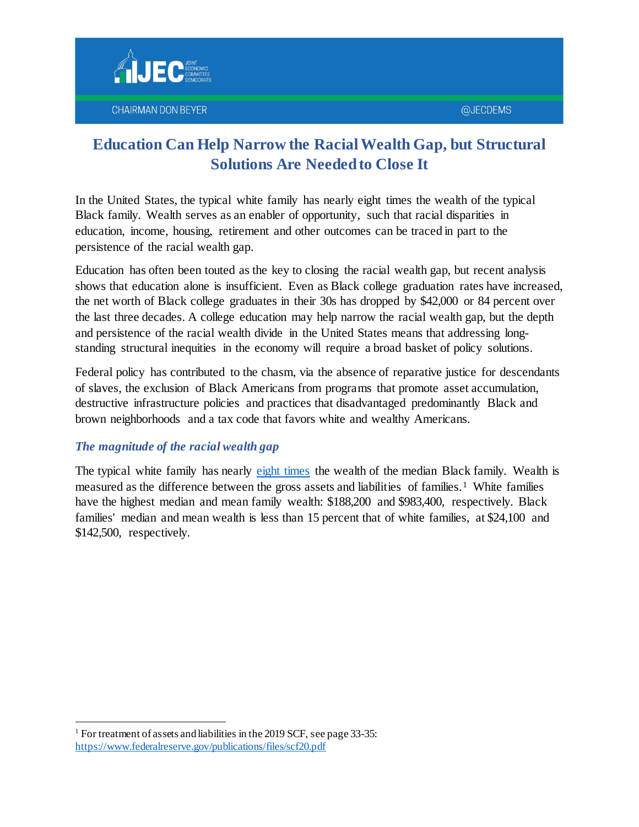



# **Education Can Help Narrow the Racial Wealth Gap, but Structural Solutions Are Needed to Close It**

In the United States, the typical white family has nearly eight times the wealth of the typical Black family. Wealth serves as an enabler of opportunity, such that racial disparities in education, income, housing, retirement and other outcomes can be traced in part to the persistence of the racial wealth gap.

Education has often been touted as the key to closing the racial wealth gap, but recent analysis shows that education alone is insufficient. Even as Black college graduation rates have increased, the net worth of Black college graduates in their 30s has dropped by \$42,000 or 84 percent over the last three decades. A college education may help narrow the racial wealth gap, but the depth and persistence of the racial wealth divide in the United States means that addressing longstanding structural inequities in the economy will require a broad basket of policy solutions.

Federal policy has contributed to the chasm, via the absence of reparative justice for descendants of slaves, the exclusion of Black Americans from programs that promote asset accumulation, destructive infrastructure policies and practices that disadvantaged predominantly Black and brown neighborhoods and a tax code that favors white and wealthy Americans.

## *The magnitude of the racial wealth gap*

The typical white family has nearly [eight times](https://www.federalreserve.gov/econres/notes/feds-notes/disparities-in-wealth-by-race-and-ethnicity-in-the-2019-survey-of-consumer-finances-20200928.htm) the wealth of the median Black family. Wealth is measured as the difference between the gross assets and liabilities of families. <sup>1</sup> White families have the highest median and mean family wealth: \$188,200 and \$983,400, respectively. Black families' median and mean wealth is less than 15 percent that of white families, at \$24,100 and \$142,500, respectively.

1

<sup>&</sup>lt;sup>1</sup> For treatment of assets and liabilities in the 2019 SCF, see page 33-35: <https://www.federalreserve.gov/publications/files/scf20.pdf>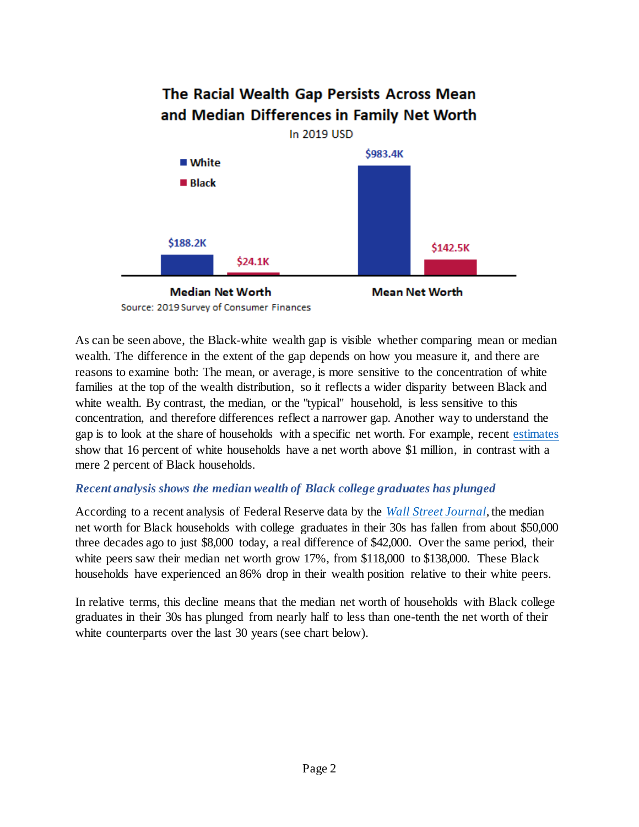

Source: 2019 Survey of Consumer Finances

As can be seen above, the Black-white wealth gap is visible whether comparing mean or median wealth. The difference in the extent of the gap depends on how you measure it, and there are reasons to examine both: The mean, or average, is more sensitive to the concentration of white families at the top of the wealth distribution, so it reflects a wider disparity between Black and white wealth. By contrast, the median, or the "typical" household, is less sensitive to this concentration, and therefore differences reflect a narrower gap. Another way to understand the gap is to look at the share of households with a specific net worth. For example, recent [estimates](https://www.mckinsey.com/featured-insights/diversity-and-inclusion/the-economic-state-of-black-america-what-is-and-what-could-be) show that 16 percent of white households have a net worth above \$1 million, in contrast with a mere 2 percent of Black households.

#### *Recent analysis shows the median wealth of Black college graduates has plunged*

According to a recent analysis of Federal Reserve data by the *[Wall Street Journal](https://www.wsj.com/articles/college-was-supposed-to-close-the-wealth-gap-for-black-americans-the-opposite-happened-11628328602)*, the median net worth for Black households with college graduates in their 30s has fallen from about \$50,000 three decades ago to just \$8,000 today, a real difference of \$42,000. Over the same period, their white peers saw their median net worth grow 17%, from \$118,000 to \$138,000. These Black households have experienced an 86% drop in their wealth position relative to their white peers.

In relative terms, this decline means that the median net worth of households with Black college graduates in their 30s has plunged from nearly half to less than one-tenth the net worth of their white counterparts over the last 30 years (see chart below).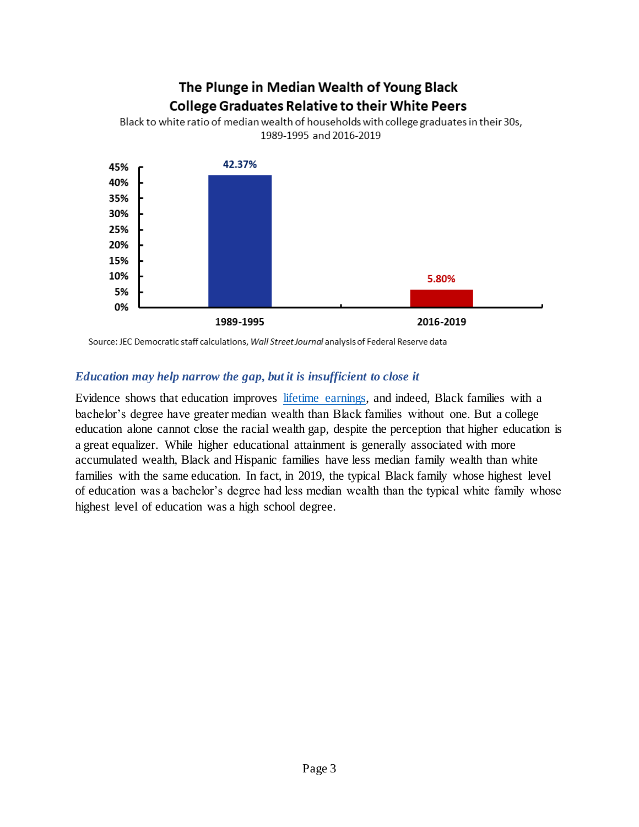## The Plunge in Median Wealth of Young Black **College Graduates Relative to their White Peers**



Black to white ratio of median wealth of households with college graduates in their 30s, 1989-1995 and 2016-2019

Source: JEC Democratic staff calculations, Wall Street Journal analysis of Federal Reserve data

#### *Education may help narrow the gap, but it is insufficient to close it*

Evidence shows that education improves [lifetime earnings,](https://www.oecd-ilibrary.org/sites/ab9c46ef-en/index.html?itemId=/content/component/ab9c46ef-en) and indeed, Black families with a bachelor's degree have greater median wealth than Black families without one. But [a college](https://www.stlouisfed.org/on-the-economy/2021/january/wealth-gaps-white-black-hispanic-families-2019) education [alone cannot close the racial wealth gap,](https://www.stlouisfed.org/on-the-economy/2021/january/wealth-gaps-white-black-hispanic-families-2019) despite the perception that higher education is a great equalizer. While higher educational attainment is generally associated with more accumulated wealth, Black and Hispanic families have less median family wealth than white families with the same education. In fact, in 2019, the typical Black family whose highest level of education was a bachelor's degree had less median wealth than the typical white family whose highest level of education was a high school degree.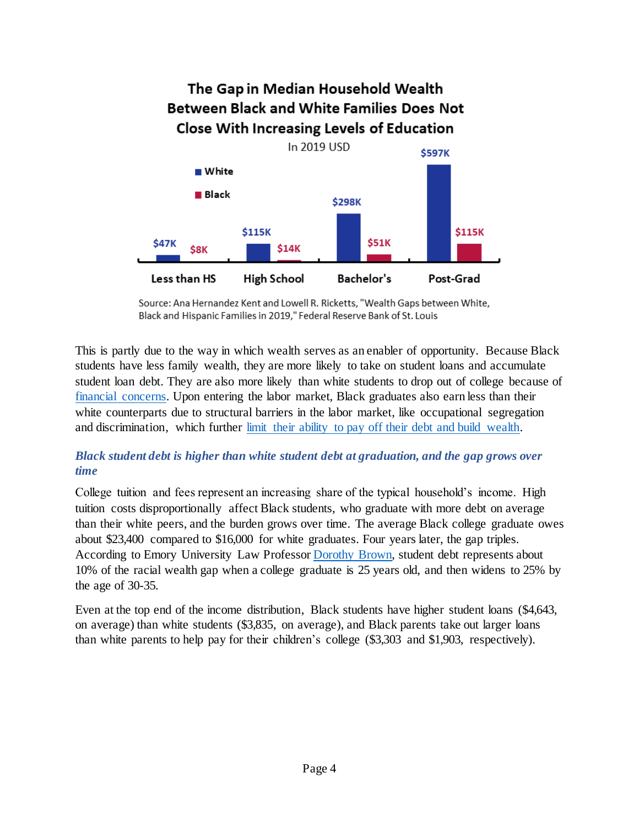

Source: Ana Hernandez Kent and Lowell R. Ricketts, "Wealth Gaps between White, Black and Hispanic Families in 2019," Federal Reserve Bank of St. Louis

This is partly due to the way in which wealth serves as an enabler of opportunity. Because Black students have less family wealth, they are more likely to take on student loans and accumulate student loan debt. They are also more likely than white students to drop out of college because of [financial concerns.](https://socialequity.duke.edu/wp-content/uploads/2020/01/what-we-get-wrong.pdf) Upon entering the labor market, Black graduates also earn less than their white counterparts due to structural barriers in the labor market, like occupational segregation and discrimination, which further [limit their ability to pay off their debt and build wealth.](https://www.jec.senate.gov/public/_cache/files/7cd2b78c-6998-4e27-987f-15dcdd29c996/black-student-loan-debt-final.pdf)

## *Black student debt is higher than white student debt at graduation, and the gap grows over time*

College tuition and fees represent an increasing share of the typical household's income. High tuition costs disproportionally affect Black students, who graduate with more debt on average than their white peers, and the burden grows over time. The average Black college graduate owes about \$23,400 compared to \$16,000 for white graduates. Four years later, the gap triples. According to Emory University Law Professor [Dorothy Brown,](https://www.jec.senate.gov/public/_cache/files/4f6171e5-51b2-46d1-bba9-33cb60343382/dorothy-brown---jec-testimony.pdf) student debt represents about 10% of the racial wealth gap when a college graduate is 25 years old, and then widens to 25% by the age of 30-35.

Even at the top end of the income distribution, Black students have higher student loans (\$4,643, on average) than white students (\$3,835, on average), and Black parents take out larger loans than white parents to help pay for their children's college (\$3,303 and \$1,903, respectively).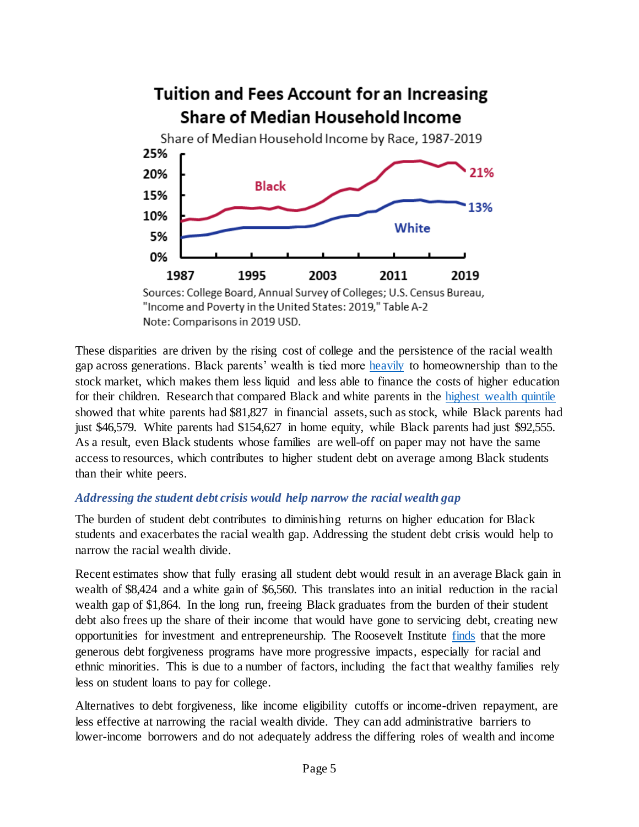

Note: Comparisons in 2019 USD.

These disparities are driven by the rising cost of college and the persistence of the racial wealth gap across generations. Black parents' wealth is tied more [heavily](https://www.memphis.edu/law/documents/brown_final.pdf) to homeownership than to the stock market, which makes them less liquid and less able to finance the costs of higher education for their children. Research that compared Black and white parents in the [highest wealth quintile](http://static1.1.sqspcdn.com/static/f/1212067/26850677/1455150837530/AddoHouleSimon.pdf?token=LUn1AQwONzvRxr0ktAnJ54jGqgc%3D) showed that white parents had \$81,827 in financial assets, such as stock, while Black parents had just \$46,579. White parents had \$154,627 in home equity, while Black parents had just \$92,555. As a result, even Black students whose families are well-off on paper may not have the same access to resources, which contributes to higher student debt on average among Black students than their white peers.

#### *Addressing the student debt crisis would help narrow the racial wealth gap*

The burden of student debt contributes to diminishing returns on higher education for Black students and exacerbates the racial wealth gap. Addressing the student debt crisis would help to narrow the racial wealth divide.

[Recent estimates](https://www.nytimes.com/2021/04/30/business/racial-wealth-gap.html) show that fully erasing all student debt would result in an average Black gain in wealth of \$8,424 and a white gain of \$6,560. This translates into an initial reduction in the racial wealth gap of \$1,864. In the long run, freeing Black graduates from the burden of their student debt also frees up the share of their income that would have gone to servicing debt, creating new opportunities for investment and entrepreneurship. The [Roosevelt Institute finds](https://rooseveltinstitute.org/wp-content/uploads/2021/06/RI_StudentDebtCancellation_IssueBrief_202106.pdf) that the more generous debt forgiveness programs have more progressive impacts, especially for racial and ethnic minorities. This is due to a number of factors, including the fact that wealthy families rely less on student loans to pay for college.

Alternatives to debt forgiveness, like income eligibility cutoffs or income-driven repayment, are less effective at narrowing the racial wealth divide. They can add administrative barriers to lower-income borrowers and do not adequately address the differing roles of wealth and income